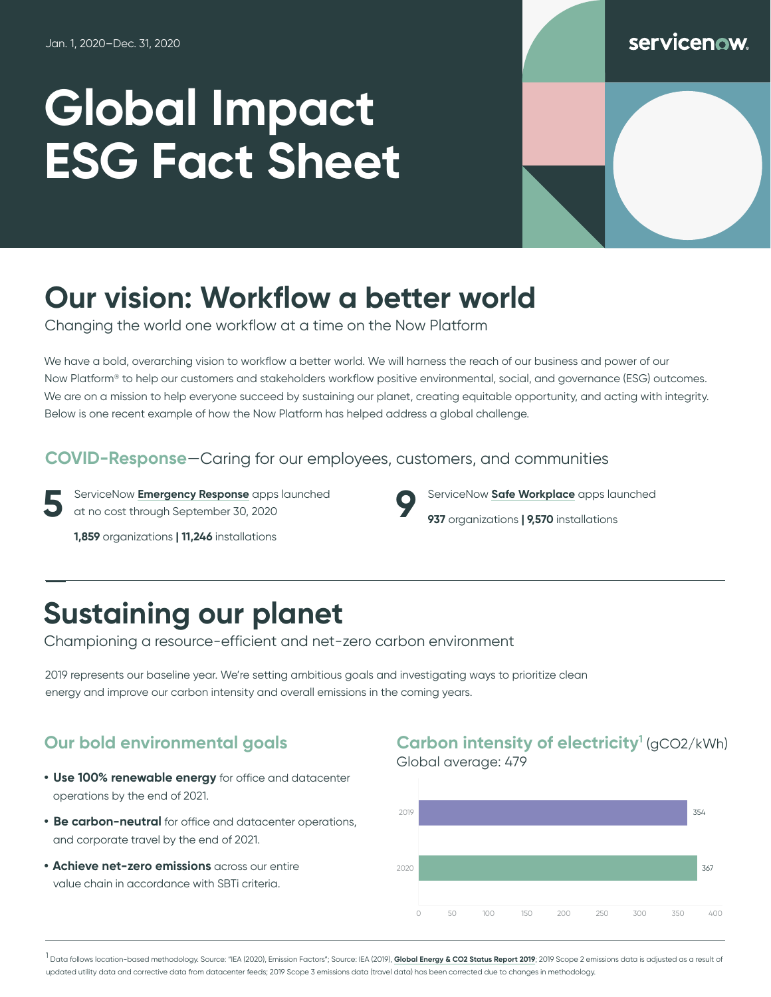# **Global Impact ESG Fact Sheet**

### servicenow

# **Our vision: Workflow a better world**

Changing the world one workflow at a time on the Now Platform

We have a bold, overarching vision to workflow a better world. We will harness the reach of our business and power of our Now Platform® to help our customers and stakeholders workflow positive environmental, social, and governance (ESG) outcomes. We are on a mission to help everyone succeed by sustaining our planet, creating equitable opportunity, and acting with integrity. Below is one recent example of how the Now Platform has helped address a global challenge.

#### **COVID-Response**—Caring for our employees, customers, and communities

**5** ServiceNow **[Emergency Response](https://www.servicenow.com/solutions/crisis-management.html)** apps launched at no cost through September 30, 2020

**1,859** organizations **| 11,246** installations

# **Sustaining our planet**

Championing a resource-efficient and net-zero carbon environment

2019 represents our baseline year. We're setting ambitious goals and investigating ways to prioritize clean energy and improve our carbon intensity and overall emissions in the coming years.

- **• Use 100% renewable energy** for office and datacenter operations by the end of 2021.
- **• Be carbon-neutral** for office and datacenter operations, and corporate travel by the end of 2021.
- **• Achieve net-zero emissions** across our entire value chain in accordance with SBTi criteria.

#### **Our bold environmental goals Carbon intensity of electricity<sup>1</sup> (gCO2/kWh)** Global average: 479

**9** ServiceNow **[Safe Workplace](https://www.servicenow.com/solutions/reopening-workplace.html)** apps launched

**937** organizations **| 9,570** installations



1<br>Pata follows location-based methodology. Source: "IEA (2020), Emission Factors"; Source: IEA (2019), **[Global Energy & CO2 Status Report 2019](https://www.iea.org/reports/global-energy-co2-status-report-2019)**; 2019 Scope 2 emissions data is adjusted as a result of updated utility data and corrective data from datacenter feeds; 2019 Scope 3 emissions data (travel data) has been corrected due to changes in methodology.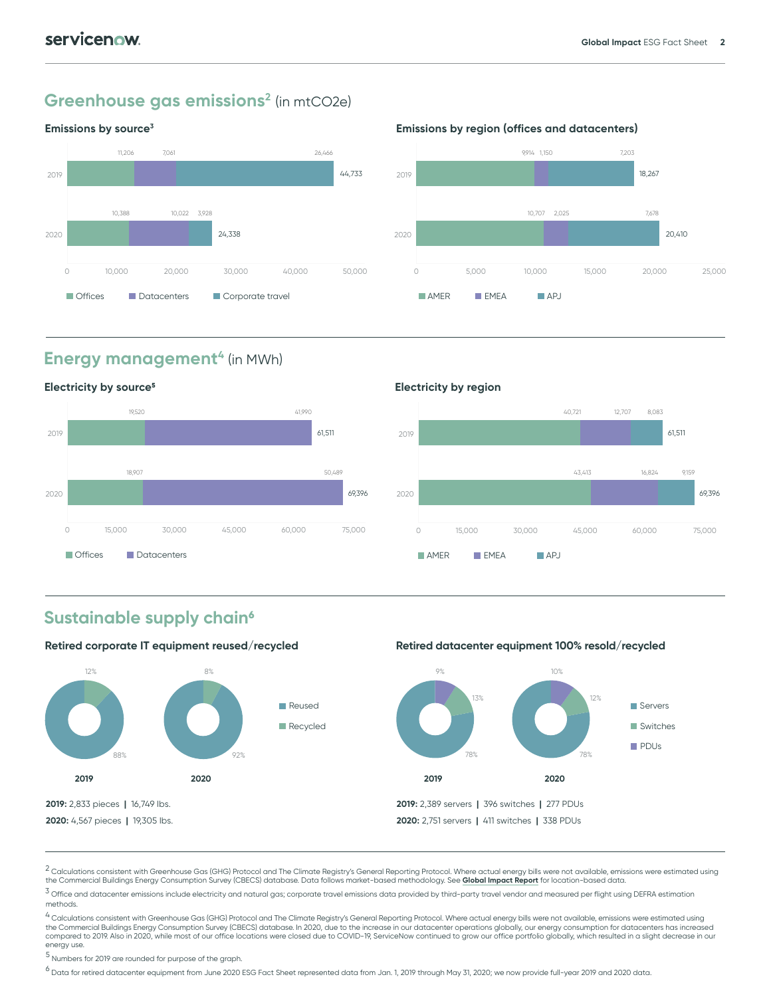#### **Greenhouse gas emissions<sup>2</sup> (in mtCO2e)**

#### **Emissions by source3**



#### **Emissions by region (offices and datacenters)**



### **Energy management<sup>4</sup> (in MWh)**



## **AMER EMEA APJ** 40,721 12,707 8,083 43,413 16,824 9,159 0 15,000 30,000 45,000 60,000 75,000 2020 2019 **61,511** 61,511 61,511 61,511 61,511 61,511 61,511 61,511 61,511 61,511 61,511 61,511 61,511 61,511 61,511 69,396 **Electricity by region**

#### **Sustainable supply chain6**



 $^{\text{3}}$  Office and datacenter emissions include electricity and natural gas; corporate travel emissions data provided by third-party travel vendor and measured per flight using DEFRA estimation methods.

<sup>4</sup> Calculations consistent with Greenhouse Gas (GHG) Protocol and The Climate Registry's General Reporting Protocol. Where actual energy bills were not available, emissions were estimated using<br>the Commercial Buildings En compared to 2019. Also in 2020, while most of our office locations were closed due to COVID-19, ServiceNow continued to grow our office portfolio globally, which resulted in a slight decrease in our energy use.

5 Numbers for 2019 are rounded for purpose of the graph.

 $^6$  Data for retired datacenter equipment from June 2020 ESG Fact Sheet represented data from Jan. 1, 2019 through May 31, 2020; we now provide full-year 2019 and 2020 data.

<sup>&</sup>lt;sup>2</sup> Calculations consistent with Greenhouse Gas (GHG) Protocol and The Climate Registry's General Reporting Protocol. Where actual energy bills were not available, emissions were estimated using the Commercial Buildings Energy Consumption Survey (CBECS) database. Data follows market-based methodology. See **[Global Impact Report](https://www.servicenow.com/content/dam/servicenow-assets/public/en-us/doc-type/other-document/servicenow-global-impact-report-2021.pdf)** for location-based data.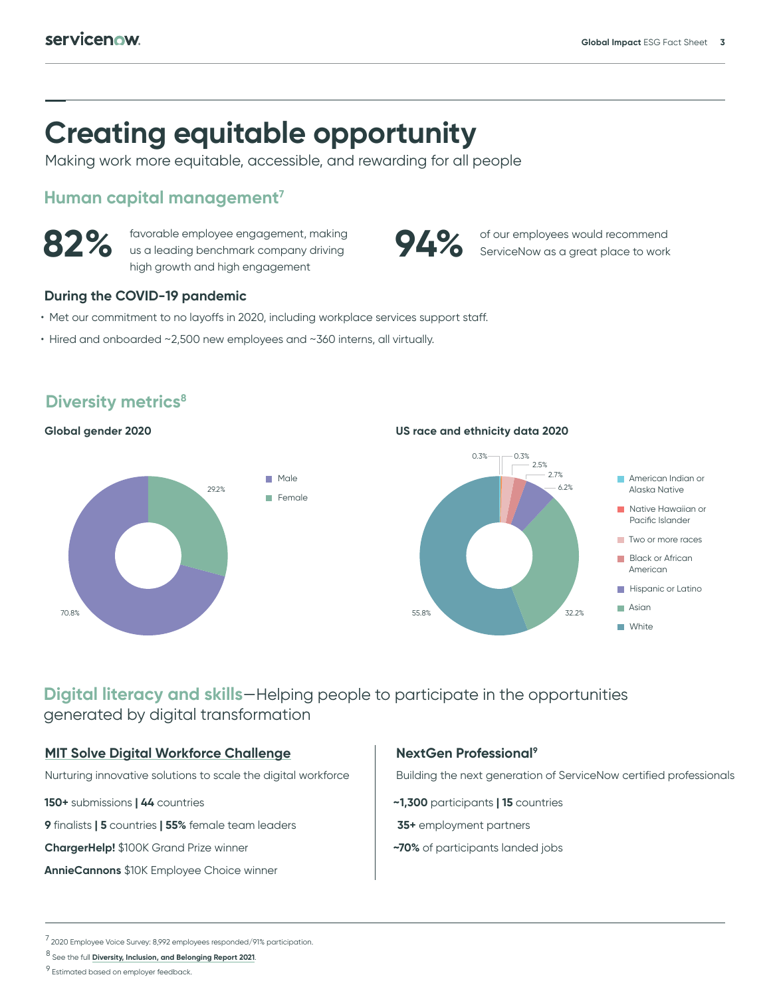## **Creating equitable opportunity**

Making work more equitable, accessible, and rewarding for all people

#### **Human capital management7**



**82%** favorable employee engagement, making us a leading benchmark company driving high growth and high engagement

#### **During the COVID-19 pandemic**

- Met our commitment to no layoffs in 2020, including workplace services support staff.
- Hired and onboarded ~2,500 new employees and ~360 interns, all virtually.



#### **Diversity metrics<sup>8</sup>**

2020 Global gender **Global gender 2020**

**US race and ethnicity data 2020** 



of our employees would recommend ServiceNow as a great place to work

#### **Digital literacy and skills**—Helping people to participate in the opportunities generated by digital transformation

#### **[MIT Solve Digital Workforce Challenge](https://www.servicenow.com/company/global-impact/mit-challenge-digital-workforce.html)**

Nurturing innovative solutions to scale the digital workforce

**150+** submissions **| 44** countries

**9** finalists **| 5** countries **| 55%** female team leaders

**ChargerHelp!** \$100K Grand Prize winner

**AnnieCannons** \$10K Employee Choice winner

#### **NextGen Professional9**

Building the next generation of ServiceNow certified professionals

- **~1,300** participants **| 15** countries
- **35+** employment partners
- **~70%** of participants landed jobs

<sup>7 2020</sup> Employee Voice Survey: 8,992 employees responded/91% participation.

<sup>8</sup> See the full **[Diversity, Inclusion, and Belonging Report 2021](https://www.servicenow.com/company/diversity-inclusion-belonging.html)**.

 $9$  Estimated based on employer feedback.